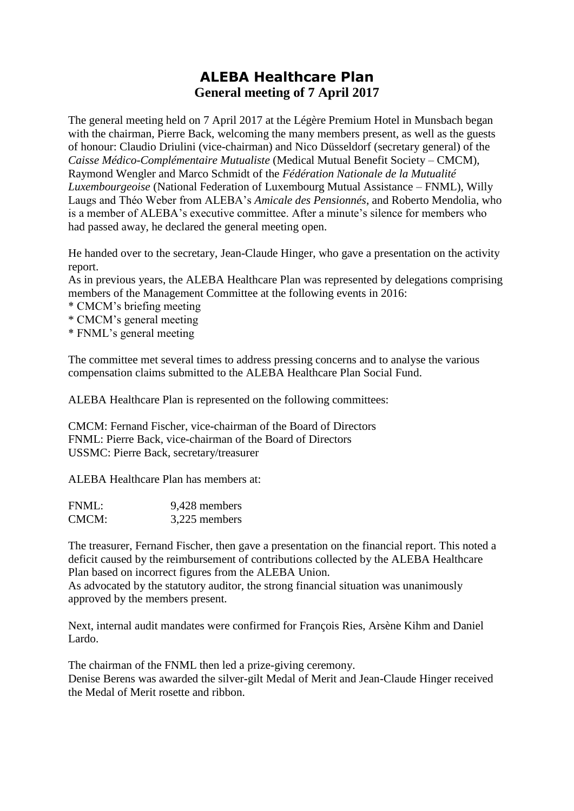## **ALEBA Healthcare Plan General meeting of 7 April 2017**

The general meeting held on 7 April 2017 at the Légère Premium Hotel in Munsbach began with the chairman, Pierre Back, welcoming the many members present, as well as the guests of honour: Claudio Driulini (vice-chairman) and Nico Düsseldorf (secretary general) of the *Caisse Médico-Complémentaire Mutualiste* (Medical Mutual Benefit Society – CMCM), Raymond Wengler and Marco Schmidt of the *Fédération Nationale de la Mutualité Luxembourgeoise* (National Federation of Luxembourg Mutual Assistance – FNML), Willy Laugs and Théo Weber from ALEBA's *Amicale des Pensionnés*, and Roberto Mendolia, who is a member of ALEBA's executive committee. After a minute's silence for members who had passed away, he declared the general meeting open.

He handed over to the secretary, Jean-Claude Hinger, who gave a presentation on the activity report.

As in previous years, the ALEBA Healthcare Plan was represented by delegations comprising members of the Management Committee at the following events in 2016:

- \* CMCM's briefing meeting
- \* CMCM's general meeting
- \* FNML's general meeting

The committee met several times to address pressing concerns and to analyse the various compensation claims submitted to the ALEBA Healthcare Plan Social Fund.

ALEBA Healthcare Plan is represented on the following committees:

CMCM: Fernand Fischer, vice-chairman of the Board of Directors FNML: Pierre Back, vice-chairman of the Board of Directors USSMC: Pierre Back, secretary/treasurer

ALEBA Healthcare Plan has members at:

| FNML: | 9,428 members |
|-------|---------------|
| CMCM: | 3,225 members |

The treasurer, Fernand Fischer, then gave a presentation on the financial report. This noted a deficit caused by the reimbursement of contributions collected by the ALEBA Healthcare Plan based on incorrect figures from the ALEBA Union.

As advocated by the statutory auditor, the strong financial situation was unanimously approved by the members present.

Next, internal audit mandates were confirmed for François Ries, Arsène Kihm and Daniel Lardo.

The chairman of the FNML then led a prize-giving ceremony. Denise Berens was awarded the silver-gilt Medal of Merit and Jean-Claude Hinger received the Medal of Merit rosette and ribbon.